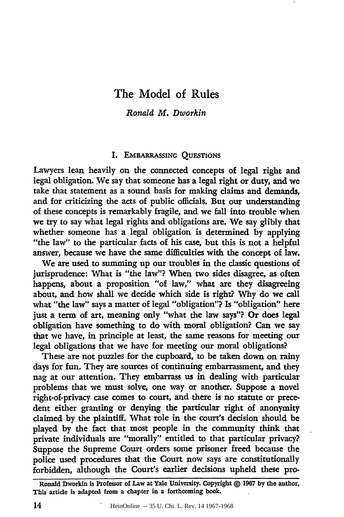# The Model of Rules

*Ronald M. Dworkin*

# I. EMBARRASSING **QUESTIONS**

Lawyers lean heavily on the connected concepts of legal right and legal obligation. We say that someone has a legal right or duty, and we take that statement as a sound basis for making claims and demands, and for criticizing the acts of public officials. But our understanding of these concepts is remarkably fragile, and we fall into trouble when we try to say what legal rights and obligations are. We say **glibly** that whether someone has a legal obligation is determined by applying "the law" to the particular facts of his case, but this is not a helpful answer, because we have the same difficulties with the concept of law.

We are used to summing up our troubles in the classic questions of jurisprudence: What is "the law"? When two sides disagree, as often happens, about a proposition "of law," what are they disagreeing about, and how shall we decide which side is right? **Why** do we call what "the law" says a matter of legal "obligation"? Is "obligation" here just a term of art, meaning only "what the law says"? Or does legal obligation have something to do with moral obligation? Can we say that we have, in principle at least, the same reasons for meeting our legal obligations that we have for meeting our moral obligations?

These are not puzzles for the cupboard, to be taken down on rainy days for fun. They are sources of continuing embarrassment, and they nag at our attention. They embarrass us in dealing with particular problems that we must solve, one way or another. Suppose a novel right-of-privacy case comes to court, and there is no statute or precedent either granting or denying the particular right of anonymity claimed by the plaintiff. What role in the court's decision should be played by the fact that most people in the community think that private individuals are "morally" entitled to that particular privacy? Suppose the Supreme Court orders some prisoner freed because the police used procedures that the Court now says are constitutionally forbidden, although the Court's earlier decisions upheld these pro-

Ronald Dworkin is Professor of Law at Yale University. Copyright **@ 1967 by** the author. This article is adapted from a chapter in a forthcoming book.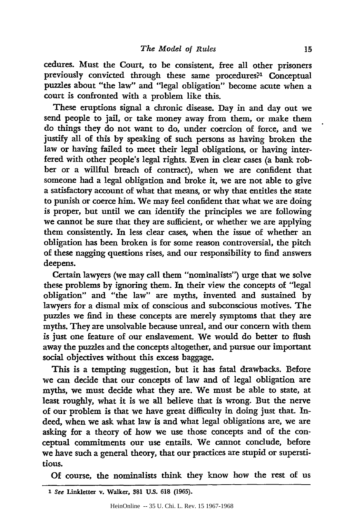cedures. Must the Court, to be consistent, free all other prisoners previously convicted through these same procedures?' Conceptual puzzles about "the law" and "legal obligation" become acute when a court is confronted with a problem like this.

These eruptions signal a chronic disease. Day in and day out we send people to jail, or take money away from them, or make them do things they do not want to do, under coercion of force, and we justify all of this by speaking of such persons as having broken the law or having failed to meet their legal obligations, or having interfered with other people's legal rights. Even in clear cases (a bank robber or a willful breach of contract), when we are confident that someone had a legal obligation and broke it, we are not able to give a satisfactory account of what that means, or why that entitles the state to punish or coerce him. We may feel confident that what we are doing is proper, but until we can identify the principles we are following we cannot be sure that they are sufficient, or whether we are applying them consistently. In less clear cases, when the issue of whether an obligation has been broken is for some reason controversial, the pitch of these nagging questions rises, and our responsibility to find answers deepens.

Certain lawyers (we may call them "nominalists") urge that we solve these problems by ignoring them. In their view the concepts of "legal obligation" and "the law" are myths, invented and sustained by lawyers for a dismal mix of conscious and subconscious motives. The puzzles we find in these concepts are merely symptoms that they are myths. They are unsolvable because unreal, and our concern with them is just one feature of our enslavement. We would do better to flush away the puzzles and the concepts altogether, and pursue our important social objectives without this excess baggage.

This is a tempting suggestion, but it has fatal drawbacks. Before we can decide that our concepts of law and of legal obligation are myths, we must decide what they are. We must be able to state, at least roughly, what it is we all believe that is wrong. But the nerve of our problem is that we have great difficulty in doing just that. Indeed, when we ask what law is and what legal obligations are, we are asking for a theory of how we use those concepts and of the conceptual commitments our use entails. We cannot conclude, before we have such a general theory, that our practices are stupid or superstitious.

Of course, the nominalists think they know how the rest of us

*<sup>1</sup>* **See Linkletter v. Walker, 381 U.S. 618 (1965).**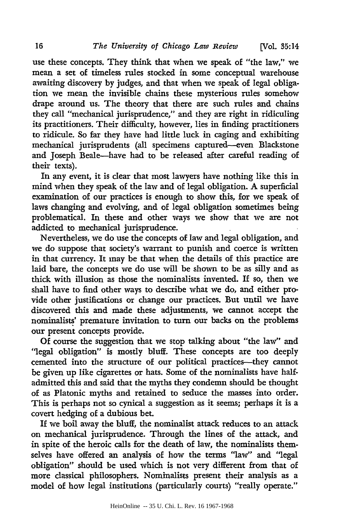*The University of Chicago Law Review* [Vol. 35:14

use these concepts. They think that when we speak of "the law," we mean a set of timeless rules stocked in some conceptual warehouse awaiting discovery by judges, and that when we speak of legal obliga-

tion we mean the invisible chains these mysterious rules somehow drape around us. The theory that there are such rules and chains they call "mechanical jurisprudence," and they are right in ridiculing its practitioners. Their difficulty, however, lies in finding practitioners to ridicule. So far they have had little luck in caging and exhibiting mechanical jurisprudents (all specimens captured-even Blackstone and Joseph Beale-have had to be released after careful reading of their texts).

In any event, it is clear that most lawyers have nothing like this in mind when they speak of the law and of legal obligation. A superficial examination of our practices is enough to show this, for we speak of laws changing and evolving, and of legal obligation sometimes being problematical. In these and other ways we show that we are not addicted to mechanical jurisprudence.

Nevertheless, we do use the concepts of law and legal obligation, and we do suppose that society's warrant to punish and coerce is written in that currency. It may be that when the details of this practice are laid bare, the concepts we do use will be shown to be as silly and as thick with illusion as those the nominalists invented. If so, then we shall have to find other ways to describe what we do, and either provide other justifications or change our practices. But until we have discovered this and made these adjustments, we cannot accept the nominalists' premature invitation to turn our backs on the problems our present concepts provide.

Of course the suggestion that we stop talking about "the law" and "legal obligation" is mostly bluff. These concepts are too deeply cemented into the structure of our political practices-they cannot be given up like cigarettes or hats. Some of the nominalists have halfadmitted this and said that the myths they condemn should be thought of as Platonic myths and retained to seduce the masses into order. This is perhaps not so cynical a suggestion as it seems; perhaps it is a covert hedging of a dubious bet.

If we boil away the bluff, the nominalist attack reduces to an attack on mechanical jurisprudence. Through the lines of the attack, and in spite of the heroic calls for the death of law, the nominalists themselves have offered an analysis of how the terms "law" and "legal obligation" should be used which is not very different from that of more classical philosophers. Nominalists present their analysis as a model of how legal institutions (particularly courts) "really operate."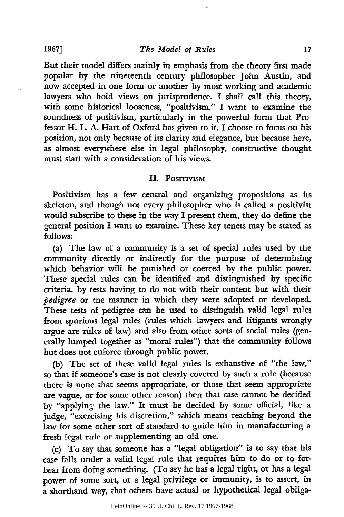But their model differs mainly in emphasis from the theory first made popular by the nineteenth century philosopher John Austin, and now accepted in one form or another by most working and academic lawyers who hold views on jurisprudence. I shall call this theory, with some historical looseness, "positivism." I want to examine the soundness of positivism, particularly in the powerful form that Professor H. L. **A.** Hart of Oxford has given to it. I choose to focus on his position, not only because of its clarity and elegance, but because here, as almost everywhere else in legal philosophy, constructive thought must start with a consideration of his views.

## II. PosrrivisM

Positivism has a few central and organizing propositions as its skeleton, and though not every philosopher who is called a positivist would subscribe to these in the way I present them, they do define the general position I want to examine. These key tenets may be stated as follows:

(a) The law of a community is a set of special rules used by the community directly or indirectly for the purpose of determining which behavior will be punished or coerced by the public power. These special rules can be identified and distinguished by specific criteria, by tests having to do not with their content but with their *pedigree* or the manner in which they were adopted or developed. These tests of pedigree can be used to distinguish valid legal rules from spurious legal rules (rules which lawyers and litigants wrongly argue are riles of law) and also from other sorts of social rules (generally lumped together as "moral rules") that the community follows but does not enforce through public power.

(b) The set of these valid legal rules is exhaustive of "the law," so that if someone's case is not clearly covered by such a rule (because there is none that seems appropriate, or those that seem appropriate are vague, or for some other reason) then that case cannot be decided by "applying the law." It must be decided by some official, like a judge, "exercising his discretion," which means reaching beyond the law for some other sort of standard to guide him in manufacturing a fresh legal rule or supplementing an old one.

(c) To say that someone has a "legal obligation" is to say that his case falls under a valid legal rule that requires him to do or to forbear from doing something. (To say he has a legal right, or has a legal power of some sort, or a legal privilege or immunity, is to assert, in a shorthand way, that others have actual or hypothetical legal obliga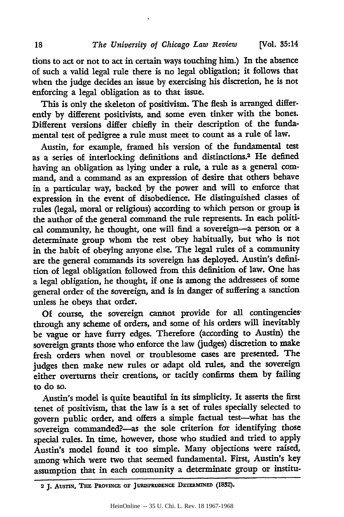tions to act or not to act in certain ways touching him.) In the absence of such a valid legal rule there is no legal obligation; it follows that when the judge decides an issue by exercising his discretion, he is not enforcing a legal obligation as to that issue.

This is only the skeleton of positivism. The flesh is arranged differently by different positivists, and some even tinker with the bones. Different versions differ chiefly in their description of the fundamental test of pedigree a rule must meet to count as a rule of law.

Austin, for example, framed his version of the fundamental test as a series of interlocking definitions and distinctions.<sup>2</sup> He defined having an obligation as lying under a rule, a rule as a general command, and a command as an expression of desire that others behave in a particular way, backed by the power and will to enforce that expression in the event of disobedience. He distinguished classes of rules (legal, moral or religious) according to which person or group is the author of the general command the rule represents. In each political community, he thought, one will find a sovereign-a person or a determinate group whom the rest obey habitually, but who is not in the habit of obeying anyone else. The legal rules of a community are the general commands its sovereign has deployed. Austin's definition of legal obligation followed from this definition of law. One has a legal obligation, he thought, if one is among the addressees of some general order of the sovereign, and is in danger of suffering a sanction unless he obeys that order.

**Of** course, the sovereign cannot provide for all contingenciesthrough any scheme of orders, and some of his orders will inevitably be vague or have furry edges. Therefore (according to Austin) the sovereign grants those who enforce the law (judges) discretion to make fresh orders when novel or troublesome cases are presented. The judges then make new rules or adapt old rules, and the sovereign either overturns their creations, or tacitly confirms them by failing to do so.

Austin's model is quite beautiful in its simplicity. It asserts the first tenet of positivism, that the law is a set of rules specially selected to govern public order, and offers a simple factual test-what has the sovereign commanded?-as the sole criterion for identifying those special rules. In time, however, those who studied and tried to apply Austin's model found it too simple. Many objections were raised, among which were two that seemed fundamental. First, Austin's key assumption that in each community a determinate group or institu-

<sup>2</sup> J. Austin, The Province of Jurisprudence Determined (1832).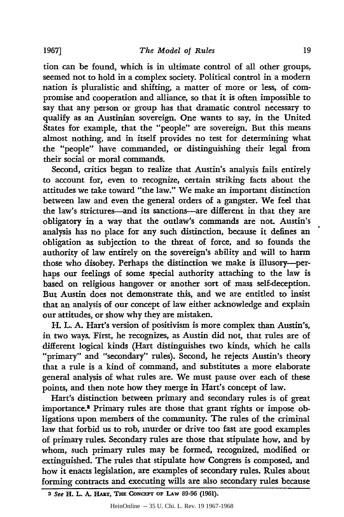tion can be found, which is in ultimate control of all other groups, seemed not to hold in a complex society. Political control in a modem nation is pluralistic and shifting, a matter of more or less, of compromise and cooperation and alliance, so that it is often impossible to say that any person or group has that dramatic control necessary to qualify as an Austinian sovereign. One wants to say, in the United States for example, that the "people" are sovereign. But this means almost nothing, and in itself provides no test for determining what the "people" have commanded, or distinguishing their legal from their social or moral commands.

Second, critics began to realize that Austin's analysis fails entirely to account for, even to recognize, certain striking facts about the attitudes we take toward "the law." We make an important distinction between law and even the general orders of a gangster. We feel that the law's strictures-and its sanctions-are different in that they are obligatory in a way that the outlaw's commands are not. Austin's analysis has no place for any such distinction, because it defines an obligation as subjection to the threat of force, and so founds the authority of law entirely on the sovereign's ability and will to harm those who disobey. Perhaps the distinction we make is illusory-perhaps our feelings of some special authority attaching to the law is based on religious hangover or another sort of mass self-deception. But Austin does not demonstrate this, and we are entitled to insist that an analysis of our concept of law either acknowledge and explain our attitudes, or show why they are mistaken.

H. L. **A.** Hart's version of positivism is more complex than Austin's, in two ways. First, he recognizes, as Austin did not, that rules are of different logical kinds (Hart distinguishes two kinds, which he calls "primary" and "secondary" rules). Second, he rejects Austin's theory that a rule is a kind of command, and substitutes a more elaborate general analysis of what rules are. We must pause over each of these points, and then note how they merge in Hart's concept of law.

Hart's distinction between primary and secondary rules is of great importance.8 Primary rules are those that grant rights or impose obligations upon members of the community. The rules of the criminal law that forbid us to rob, murder or drive too fast are good examples of primary rules. Secondary rules are those that stipulate how, and by whom, such primary rules may be formed, recognized, modified or extinguished. The rules that stipulate how Congress is composed, and how it enacts legislation, are examples of secondary rules. Rules about forming contracts and executing wills are also secondary rules because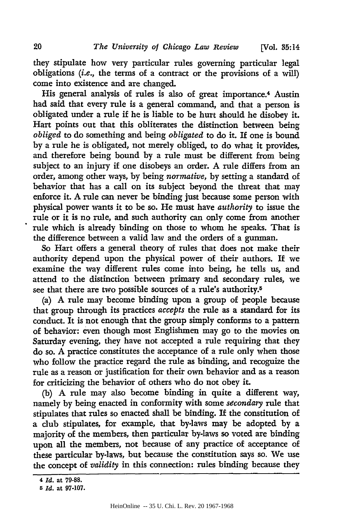they stipulate how very particular rules governing particular legal obligations (i.e., the terms of a contract or the provisions of a will) come into existence and are changed.

His general analysis of rules is also of great importance.4 Austin had said that every rule is a general command, and that a person is obligated under a rule if he is liable to be hurt should he disobey it. Hart points out that this obliterates the distinction between being *obliged* to do something and being *obligated* to do it. If one is bound by a rule he is obligated, not merely obliged, to do what it provides, and therefore being bound by a rule must be different from being subject to an injury if one disobeys an order. A rule differs from an order, among other ways, **by** being *normative,* **by** setting a standard of behavior that has a call on its subject beyond the threat that may enforce it. **A** rule can never be binding just because some person with physical power wants it to be so. He must have *authority* to issue the rule or it is no rule, and such authority can only come from another rule which is already binding on those to whom he speaks. That is the difference between a valid law and the orders of a gunman.

So Hart offers a general theory of rules that does not make their authority depend upon the physical power of their authors. If we examine the way different rules come into being, he tells us, and attend to the distinction between primary and secondary rules, we see that there are two possible sources of a rule's authority.<sup>5</sup>

(a) **A** rule may become binding upon a group of people because that group through its practices *accepts* the rule as a standard for its conduct. It is not enough that the group simply conforms to a pattern of behavior: even though most Englishmen may go to the movies on Saturday evening, they have not accepted a rule requiring that they do so. A practice constitutes the acceptance of a rule only when those who follow the practice regard the rule as binding, and recognize the rule as a reason or justification for their own behavior and as a reason for criticizing the behavior of others who do not obey it.

(b) A rule may also become binding in quite a different way, namely **by** being enacted in conformity with some *secondary* rule that stipulates that rules so enacted shall be binding. If the constitution of a club stipulates, for example, that by-laws may be adopted by a majority of the members, then particular by-laws so voted are binding upon all the members, not because of any practice of acceptance of these particular by-laws, but because the constitution says so. We use the concept of *validity* in this connection: rules binding because they

**<sup>4</sup>** *Id.* at **79-88.**

*<sup>5</sup> Id.* at **97-107.**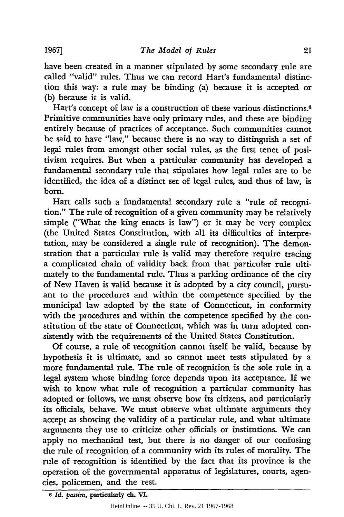have been created in a manner stipulated by some secondary rule are called "valid" rules. Thus we can record Hart's fundamental distinction this way: a rule may be binding (a) because it is accepted or (b) because it is valid.

Hart's concept of law is a construction of these various distinctions.<sup>6</sup> Primitive communities have only primary rules, and these are binding entirely because of practices of acceptance. Such communities cannot be said to have "law," because there is no way to distinguish a set of legal rules from amongst other social rules, as the first tenet of positivism requires. But when a particular community has developed a fundamental secondary rule that stipulates how legal rules are to be identified, the idea of a distinct set of legal rules, and thus of law, is born.

Hart calls such a fundamental secondary rule a "rule of recognition." The rule of recognition of a given community may be relatively simple ("What the king enacts is law") or it may be very complex (the United States Constitution, with all its difficulties of interpretation, may be considered a single rule of recognition). The demonstration that a particular rule is valid may therefore require tracing a complicated chain of validity back from that particular rule ultimately to the fundamental rule. Thus a parking ordinance of the city of New Haven is valid because it is adopted by a city council, pursuant to the procedures and within the competence specified by the municipal law adopted by the state of Connecticut, in conformity with the procedures and within the competence specified by the constitution of the state of Connecticut, which was in turn adopted consistently with the requirements of the United States Constitution.

Of course, a rule of recognition cannot itself be valid, because by hypothesis it is ultimate, and so cannot meet tests stipulated by a more fundamental rule. The rule of recognition is the sole rule in a legal system whose binding force depends upon its acceptance. If we wish to know what rule of recognition a particular community has adopted or follows, we must observe how its citizens, and particularly its officials, behave. We must observe what ultimate arguments they accept as showing the validity of a particular rule, and what ultimate arguments they use to criticize other officials or institutions. We can apply no mechanical test, but there is no danger of our confusing the rule of recognition of a community with its rules of morality. The rule of recognition is identified by the fact that its province is the operation of the governmental apparatus of legislatures, courts, agencies, policemen, and the rest.

**<sup>6</sup>** *Id. passim,* particularly **ch. VI.**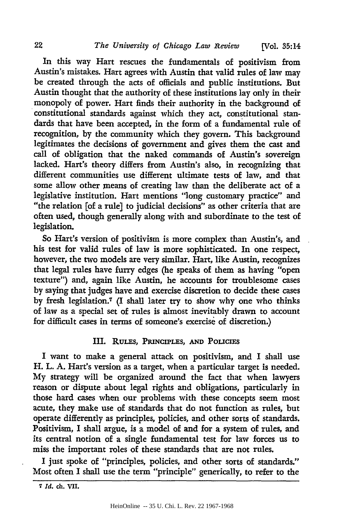In this way Hart rescues the fundamentals of positivism from Austin's mistakes. Hart agrees with Austin that valid rules of law may be created through the acts of officials and public institutions. But Austin thought that the authority of these institutions lay only in their monopoly of power. Hart finds their authority in the background of constitutional standards against which they act, constitutional standards that have been accepted, in the form of a fundamental rule of recognition, by the community which they govern. This background legitimates the decisions of government and gives them the cast and call of obligation that the naked commands of Austin's sovereign lacked. Hart's theory differs from Austin's also, in recognizing that different communities use different ultimate tests of law, and that some allow other means of creating law than the deliberate act of a legislative institution. Hart mentions "long customary practice" and "the relation [of a rule] to judicial decisions" as other criteria that are often used, though generally along with and subordinate to the test of legislation.

So Hart's version of positivism is more complex than Austin's, and his test for valid rules of law is more sophisticated. In one respect, however, the two models are very similar. Hart, like Austin, recognizes that legal rules have furry edges (he speaks of them as having "open texture") and, again like Austin, he accounts for troublesome cases by saying that judges have and exercise discretion to decide these cases by fresh legislation.7 (I shall later try to show why one who thinks of law as a special set of rules is almost inevitably drawn to account for difficult cases in terms of someone's exercise of discretion.)

## III. RuLEs, PRINCIPLES, **AND PoucIEs**

I want to make a general attack on positivism, and I shall use H. L. **A.** Hart's version as a target, when a particular target is needed. My strategy will be organized around the fact that when lawyers reason or dispute about legal rights and obligations, particularly in those hard cases when our problems with these concepts seem most acute, they make use of standards that do not function as rules, but operate differently as principles, policies, and other sorts of standards. Positivism, I shall argue, is a model of and for a system of rules, and its central notion of a single fundamental test for law forces us to miss the important roles of these standards that are not rules.

I just spoke of "principles, policies, and other sorts of standards." Most often I shall use the term "principle" generically, to refer to the

**<sup>7</sup>** *Id.* **ch. VII.**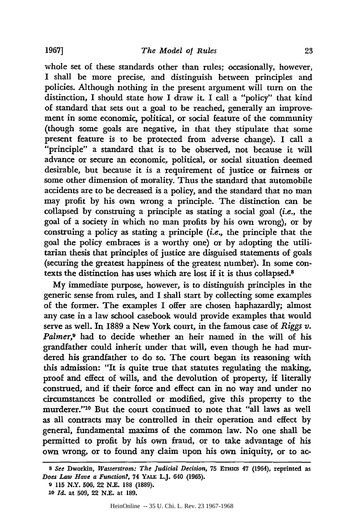whole set of these standards other than rules; occasionally, however, I shall be more precise, and distinguish between principles and policies. Although nothing in the present argument will turn on the distinction, I should state how I draw it. I call a "policy" that kind of standard that sets out a goal to be reached, generally an improvement in some economic, political, or social feature of the community (though some goals are negative, in that they stipulate that some present feature is to be protected from adverse change). I call a "principle" a standard that is to be observed, not because it will advance or secure an economic, political, or social situation deemed desirable, but because it is a requirement of justice or fairness or some other dimension of morality. Thus the standard that automobile accidents are to be decreased is a policy, and the standard that no man may profit by his own wrong a principle. The distinction can be collapsed by construing a principle as stating a social goal *(i.e.,* the goal of a society in which no man profits **by** his own wrong), or by construing a policy as stating a principle *(i.e.,* the principle that the goal the policy embraces is a worthy one) or by adopting the utilitarian thesis that principles of justice are disguised statements of goals (securing the greatest happiness of the greatest number). In some contexts the distinction has uses which are lost if it is thus collapsed.8

My immediate purpose, however, is to distinguish principles in the generic sense from rules, and I shall start by collecting some examples of the former. The examples I offer are chosen haphazardly; almost any case in a law school casebook would provide examples that would serve as well. In 1889 a New York court, in the famous case of *Riggs v. Palmer,9* had to decide whether an heir named in the will of his grandfather could inherit under that will, even though he had murdered his grandfather to do so. The court began its reasoning with this admission: "It is quite true that statutes regulating the making, proof and effect of wills, and the devolution of property, if literally construed, and if their force and effect can in no way and under no circumstances be controlled or modified, give this property to the murderer."'10 But the court continued to note that "all laws as well as all contracts may be controlled in their operation and effect by general, fundamental maxims of the common law. No one shall be permitted to profit by his own fraud, or to take advantage of his own wrong, or to found any claim upon his own iniquity, or to ac-

**9 115 N.Y. 506, 22 N.E. 188 (1889).**

*<sup>8</sup>* **See Dworkin,** *Wasserstrom: The Judicial Decision,* **75 ETIcS 47 (1964), reprinted** as *Does Law Have a Function?,* 74 YALE **L.J. 640 (1965).**

*<sup>10</sup> Id.* **at 509, 22 N.E. at 189.**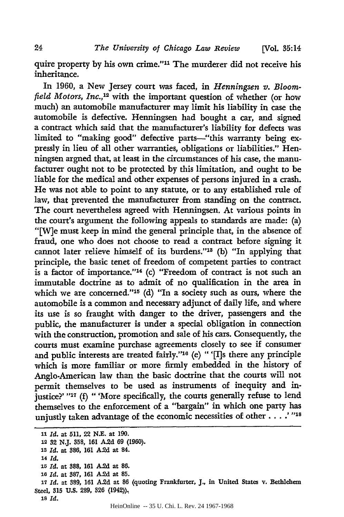quire property by his own crime."<sup>11</sup> The murderer did not receive his inheritance.

In **1960,** a New Jersey court was faced, in *Henningsen v. Bloomfield Motors, Inc.,'2* with the important question of whether (or how much) an automobile manufacturer may limit his liability in case the automobile is defective. Henningsen had bought a car, and signed a contract which said that the manufacturer's liability for defects was limited to "making good" defective parts-"this warranty being expressly in lieu of all other warranties, obligations or liabilities." Henningsen argned that, at least in the circumstances of his case, the manufacturer ought not to be protected by this limitation, and ought to be liable for the medical and other expenses of persons injured in a crash. He was not able to point to any statute, or to any established rule of law, that prevented the manufacturer from standing on the contract. The court nevertheless agreed with Henningsen. At various points in the court's argument the following appeals to standards are made: (a) "[W]e must keep in mind the general principle that, in the absence of fraud, one who does not choose to read a contract before signing it cannot later relieve himself of its burdens."<sup>13</sup> (b) "In applying that principle, the basic tenet of freedom of competent parties to contract is a factor of importance."'1 (c) "Freedom of contract is not such an immutable doctrine as to admit of no qualification in the area in which we are concerned."<sup>15</sup> (d) "In a society such as ours, where the automobile is a common and necessary adjunct of daily life, and where its use is so fraught with danger to the driver, passengers and the public, the manufacturer is under a special obligation in connection with the construction, promotion and sale of his cars. Consequently, the courts must examine purchase agreements closely to see if consumer and public interests are treated fairly."<sup>16</sup> (e) " '[I]s there any principle which is more familiar or more firmly embedded in the history of Anglo-American law than the basic doctrine that the courts will not permit themselves to be used as instruments of inequity and injustice?' "<sup>17</sup> (f) "'More specifically, the courts generally refuse to lend themselves to the enforcement of a "bargain" in which one party has unjustly taken advantage of the economic necessities of other .... **' "18**

*<sup>11</sup>***Id.** at 511, 22 N.E. at **190. 12 32 N.J. 58, 161** A.2d **69 (1960). <sup>13</sup>***Id.* at **386,** 161 **A.2d** at 84. **14** *Id.* **<sup>15</sup>***Id.* at **388, 161 A.2d** at **86. 16** *Id.* at **387, 161 A.2d** at **85. 27** *Id.* at **389, 161 A.2d** at **86** (quoting Frankfurter, **J.,** in United States v. Bethlehem Steel, **315 U.S. 289, 326** (1942)), **is** *Id.*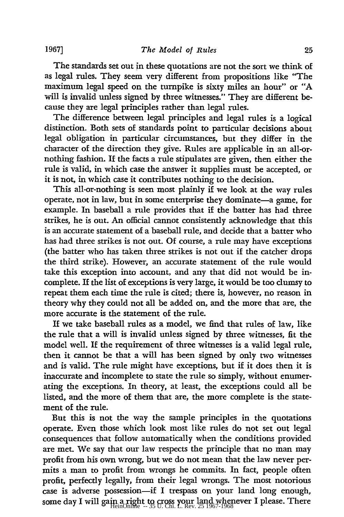The standards set out in these quotations are not the sort we think of as legal rules. They seem very different from propositions like "The maximum legal speed on the turnpike is sixty miles an hour" or **"A** will is invalid unless signed by three witnesses." They are different because they are legal principles rather than legal rules.

The difference between legal principles and legal rules is a logical distinction. Both sets of standards point to particular decisions about legal obligation in particular circumstances, but they differ in the character of the direction they give. Rules are applicable in an all-ornothing fashion. If the facts a rule stipulates are given, then either the rule is valid, in which case the answer it supplies must be accepted, or it is not, in which case it contributes nothing to the decision.

This all-or-nothing is seen most plainly if we look at the way rules operate, not in law, but in some enterprise they dominate-a game, for example. In baseball a rule provides that if the batter has had three strikes, he is out. An official cannot consistently acknowledge that this is an accurate statement of a baseball rule, and decide that a batter who has had three strikes is not out. Of course, a rule may have exceptions (the batter who has taken three strikes is not out if the catcher drops the third strike). However, an accurate statement of the rule would take this exception into account, and any that did not would be incomplete. If the list of exceptions is very large, it would be too clumsy to repeat them each time the rule is cited; there is, however, no reason in theory why they could not all be added on, and the more that are, the more accurate is the statement of the rule.

If we take baseball rules as a model, we find that rules of law, like the rule that a will is invalid unless signed by three witnesses, fit the model well. If the requirement of three witnesses is a valid legal rule, then it cannot be that a will has been signed by only two witnesses and is valid. The rule might have exceptions, but if it does then it is inaccurate and incomplete to state the rule so simply, without enumerating the exceptions. In theory, at least, the exceptions could all be listed, and the more of them that are, the more complete is the statement of the rule.

But this is not the way the sample principles in the quotations operate. Even those which look most like rules do not set out legal consequences that follow automatically when the conditions provided are met. We say that our law respects the principle that no man may profit from his own wrong, but we do not mean that the law never permits a man to profit from wrongs he commits. In fact, people often profit, perfectly legally, from their legal wrongs. The most notorious case is adverse possession-if I trespass on your land long enough, some day I will gain a right to cross your land whenever I please. There

**1967]**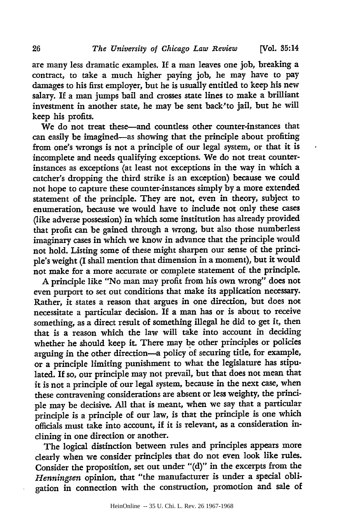are many less dramatic examples. If a man leaves one job, breaking a contract, to take a much higher paying job, he may have to pay damages to his first employer, but he is usually entitled to keep his new salary. If a man jumps bail and crosses state lines to make a brilliant investment in another state, he may be sent back-'to jail, but he will keep his profits.

We do not treat these—and countless other counter-instances that can easily be imagined-as showing that the principle about profiting from one's wrongs is not a principle of our legal system, or that it is incomplete and needs qualifying exceptions. We do not treat counterinstances as exceptions (at least not exceptions in the way in which a catcher's dropping the third strike is an exception) because we could not hope to capture these counter-instances simply by a more extended statement of the principle. They are not, even in theory, subject to enumeration, because we would have to include not only these cases (like adverse possession) in which some institution has already provided that profit can be gained through a wrong, but also those numberless imaginary cases in which we know in advance that the principle would not hold. Listing some of these might sharpen our sense of the principle's weight (I shall mention that dimension in a moment), but it would not make for a more accurate or complete statement of the principle.

A principle like "No man may profit from his own wrong" does not even purport to set out conditions that make its application necessary. Rather, it states a reason that argues in one direction, but does not necessitate a particular decision. If a man has or is about to receive something, as a direct result of something illegal he did to get it, then that is a reason which the law will take into account in deciding whether he should keep it. There may be other principles or policies arguing in the other direction-a policy of securing title, for example, or a principle limiting punishment to what the legislature has stipulated. If so, our principle may not prevail, but that does not mean that it is not a principle of our legal system, because in the next case, when these contravening considerations are absent or less weighty, the principle may be decisive. All that is meant, when we say that a particular principle is a principle of our law, is that the principle is one which officials must take into account, if it is relevant, as a consideration inclining in one direction or another.

The logical distinction between rules and principles appears more clearly when we consider principles that do not even look like rules. Consider the proposition, set out under "(d)" in the excerpts from the *Henningsen* opinion, that "the manufacturer is under a special obligation in connection with the construction, promotion and sale of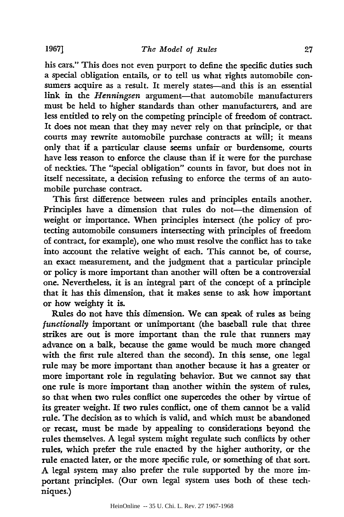his cars." This does not even purport to define the specific duties such a special obligation entails, or to tell us what rights automobile consumers acquire as a result. It merely states-and this is an essential link in the *Henningsen* argument-that automobile manufacturers must be held to higher standards than other manufacturers, and are less entitled to rely on the competing principle of freedom of contract. It does not mean that they may never rely on that principle, or that courts may rewrite automobile purchase contracts at will; it means only that if a particular clause seems unfair or burdensome, courts have less reason to enforce the clause than if it were for the purchase of neckties. The "special obligation" counts in favor, but does not in itself necessitate, a decision refusing to enforce the terms of an automobile purchase contract.

This first difference between rules and principles entails another. Principles have a dimension that rules do not-the dimension of weight or importance. When principles intersect (the policy of protecting automobile consumers intersecting with principles of freedom of contract, for example), one who must resolve the conflict has to take into account the relative weight of each. This cannot be, of course, an exact measurement, and the judgment that a particular principle or policy is more important than another will often be a controversial one. Nevertheless, it is an integral part of the concept of a principle that it has this dimension, that it makes sense to ask how important or how weighty it is.

Rules do not have this dimension. We can speak of rules as being *functionally* important or unimportant (the baseball rule that three strikes are out is more important than the rule that runners may advance on a balk, because the game would be much more changed with the first rule altered than the second). In this sense, one legal rule may be more important than another because it has a greater or more important role in regulating behavior. But we cannot say that one rule is more important than another within the system of rules, so that when two rules conflict one supercedes the other by virtue of its greater weight. If two rules conflict, one of them cannot be a valid rule. The decision as to which is valid, and which must be abandoned or recast, must be made by appealing to considerations beyond the rules themselves. A legal system might regulate such conflicts by other rules, which prefer the rule enacted by the higher authority, or the rule enacted later, or the more specific rule, or something of that sort. A legal system may also prefer the rule supported by the more important principles. (Our own legal system uses both of these techniques.)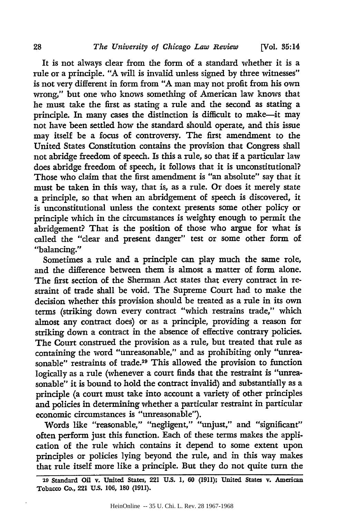It is not always clear from the form of a standard whether it is a rule or a principle. **"A** will is invalid unless signed by three witnesses" is not very different in form from **"A** man may not profit from his own wrong," but one who knows something of American law knows that he must take the first as stating a rule and the second as stating a principle. In many cases the distinction is difficult to make-it may not have been settled how the standard should operate, and this issue may itself be a focus of controversy. The first amendment to the United States Constitution contains the provision that Congress shall not abridge freedom of speech. Is this a rule, so that if a particular law does abridge freedom of speech, it follows that it is unconstitutional? Those who claim that the first amendment is "an absolute" say that it must be taken in this way, that is, as a rule. Or does it merely state a principle, so that when an abridgement of speech is discovered, it is unconstitutional unless the context presents some other policy or principle which in the circumstances is weighty enough to permit the abridgement? That is the position of those who argue for what is called the "clear and present danger" test or some other form of "balancing."

Sometimes a rule and a principle can play much the same role, and the difference between them is almost a matter of form alone. The first section of the Sherman Act states that every contract in restraint of trade shall be void. The Supreme Court had to make the decision whether this provision should be treated as a rule in its own terms (striking down every contract "which restrains trade," which almost any contract does) or as a principle, providing a reason for striking down a contract in the absence of effective contrary policies. The Court construed the provision as a rule, but treated that rule as containing the word "unreasonable," and as prohibiting only "unreasonable" restraints of trade.19 This allowed the provision to function logically as a rule (whenever a court finds that the restraint is "unreasonable" it is bound to hold the contract invalid) and substantially as a principle (a court must take into account a variety of other principles and policies in determining whether a particular restraint in particular economic circumstances is "unreasonable").

Words like "reasonable," "negligent," "unjust," and "significant" often perform just this function. Each of these terms makes the application of the rule which contains it depend to some extent upon principles or policies lying beyond the rule, and in this way makes that rule itself more like a principle. But they do not quite turn the

**<sup>19</sup>** Standard Oil v. United States, 221 **U.S.** *1,* **60** (1911); United States v. American Tobacco Co., 221 **U.S. 106, 180** (1911).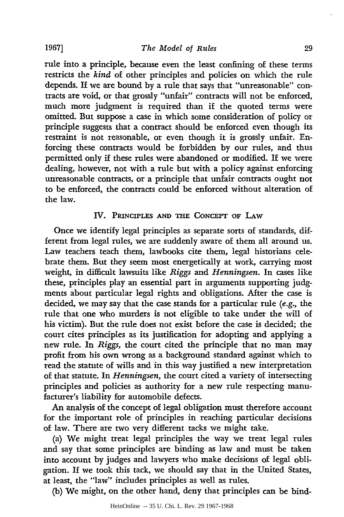rule into a principle, because even the least confining of these terms restricts the *kind* of other principles and policies on which the rule depends. If we are bound by a rule that says that "unreasonable" contracts are void, or that grossly "unfair" contracts will not be enforced, much more judgment is required than if the quoted terms were omitted. But suppose a case in which some consideration of policy or principle suggests that a contract should be enforced even though its restraint is not reasonable, or even though it is grossly unfair. Enforcing these contracts would be forbidden **by** our rules, and thus permitted only if these rules were abandoned or modified. If we were dealing, however, not with a rule but with a policy against enforcing unreasonable contracts, or a principle that unfair contracts ought not to be enforced, the contracts could be enforced without alteration of the law.

# IV. **PRINCIPLES AND THE CONCEPT OF** LAW

Once we identify legal principles as separate sorts of standards, different from legal rules, we are suddenly aware of them all around us. Law teachers teach them, lawbooks cite them, legal historians celebrate them. But they seem most energetically at work, carrying most weight, in difficult lawsuits like *Riggs and Henningsen.* In cases like these, principles play an essential part in arguments supporting **judg**ments about particular legal rights and obligations. After the case is decided, we may say that the case stands for a particular rule *(e.g.,* the rule that one who murders is not eligible to take under the will of his victim). But the rule does not exist before the case is decided; the court cites principles as its justification for adopting and applying a new rule. In *Riggs,* the court cited the principle that no man may profit from his own wrong as a background standard against which to read the statute of wills and in this way justified a new interpretation of that statute. In *Henningsen,* the court cited a variety of intersecting principles and policies as authority for a new rule respecting manufacturer's liability for automobile defects.

An analysis of the concept of legal obligation must therefore account for the important role of principles in reaching particular decisions of law. There are two very different tacks we might take.

(a) We might treat legal principles the way we treat legal rules and say that some principles are binding as law and must be taken into account **by** judges and lawyers who make decisions of legal obligation. If we took this tack, we should say that in the United States, at least, the "law" includes principles as well as rules.

**(b)** We might, on the other hand, deny that principles can be bind-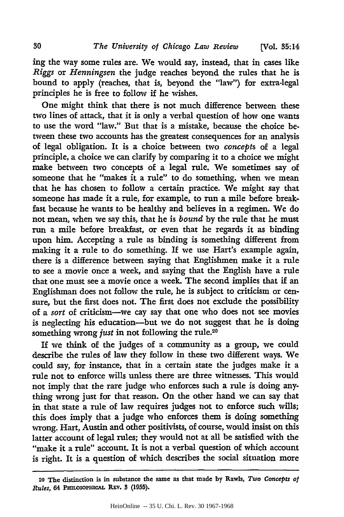**[Vol. 35:14**

ing the way some rules are. We would say, instead, that in cases like *Riggs* or *Henningsen* the judge reaches beyond the rules that he is bound to apply (reaches, that is, beyond the "law") for extra-legal principles he is free to follow if he wishes.

One might think that there is not much difference between these two lines of attack, that it is only a verbal question of how one wants to use the word "law." But that is a mistake, because the choice between these two accounts has the greatest consequences for an analysis of legal obligation. It is a choice between two *concepts* of a legal principle, a choice we can clarify by comparing it to a choice we might make between two concepts of a legal rule. We sometimes say of someone that he "makes it a rule" to do something, when we mean that he has chosen to follow a certain practice. We might say that someone has made it a rule, for example, to run a mile before breakfast because he wants to be healthy and believes in a regimen. We do not mean, when we say this, that he is *bound* by the rule that he must run a mile before breakfast, or even that he regards it as binding upon him. Accepting a rule as binding is something different from making it a rule to do something. If we use Hart's example again, there is a difference between saying that Englishmen make it a rule to see a movie once a week, and saying that the English have a rule that one must see a movie once a week. The second implies that if an Englishman does not follow the rule, he is subject to criticism or censure, but the first does not. The first does not exclude the possibility of a *sort* of criticism-we cay say that one who does not see movies is neglecting his education-but we do not suggest that he is doing something wrong *just* in not following the rule.20

If we think of the judges of a community as a group, we could describe the rules of law they follow in these two different ways. We could say, for instance, that in a certain state the judges make it a rule not to enforce wills unless there are three witnesses. This would not imply that the rare judge who enforces such a rule is doing anything wrong just for that reason. On the other hand we can say that in that state a rule of law requires judges not to enforce such wills; this does imply that a judge who enforces them is doing something wrong. Hart, Austin and other positivists, of course, would insist on this latter account of legal rules; they would not at all be satisfied with the "make it a rule" account. It is not a verbal question of which account is right. It is a question of which describes the social situation more

**<sup>20</sup>** The distinction is in substance the same as that made **by** Rawls, *Two* Concepts of *Rules,* 64 **PHILosoPHiCAL REv.** 5 **(1955).**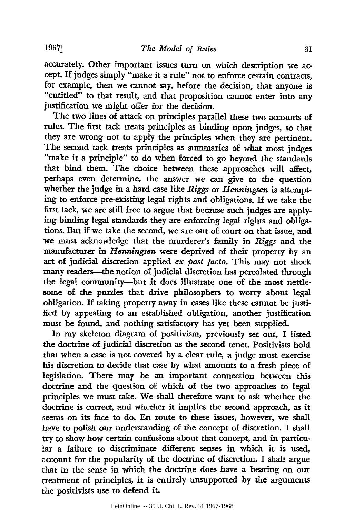accurately. Other important issues turn on which description we accept. If judges simply "make it a rule" not to enforce certain contracts, for example, then we cannot say, before the decision, that anyone is "entitled" to that result, and that proposition cannot enter into any justification we might offer for the decision.

The two lines of attack on principles parallel these two accounts of rules. The first tack treats principles as binding upon judges, so that they are wrong not to apply the principles when they are pertinent. The second tack treats principles as summaries of what most judges "make it a principle" to do when forced to go beyond the standards that bind them. The choice between these approaches will affect, perhaps even determine, the answer we can give to the question whether the judge in a hard case like *Riggs* or *Henningsen* is attempting to enforce pre-existing legal rights and obligations. If we take the first tack, we are still free to argue that because such judges are applying binding legal standards they are enforcing legal rights and obligations. But **if** we take the second, we are out of court on that issue, and we must acknowledge that the murderer's family in *Riggs* and the manufacturer in *Henningsen* were deprived of their property **by** an act of judicial discretion applied *ex post facto.* This may not shock many readers-the notion of judicial discretion has percolated through the legal community-but it does illustrate one of the most nettlesome of the puzzles that drive philosophers to worry about legal obligation. If taking property away in cases like these cannot **be** justified **by** appealing to an established obligation, another justification must be found, and nothing satisfactory has yet been supplied.

In my skeleton diagram of positivism, previously set out, I listed the doctrine of judicial discretion as the second tenet. Positivists hold that when a case is not covered **by** a clear rule, a judge must exercise his discretion to decide that case **by** what amounts to a fresh piece of legislation. There may be an important connection between this doctrine and the question of which of the two approaches to legal principles we must take. We shall therefore want to ask whether the doctrine is correct, and whether it implies the second approach, as it seems on its face to do. En route to these issues, however, we shall have to polish our understanding of the concept of discretion. I shall try to show how certain confusions about that concept, and in particular a failure to discriminate different senses in which it is used, account for the popularity of the doctrine of discretion. I shall argue that in the sense in which the doctrine does have a bearing on our treatment of principles, it is entirely unsupported **by** the arguments the positivists use to defend it.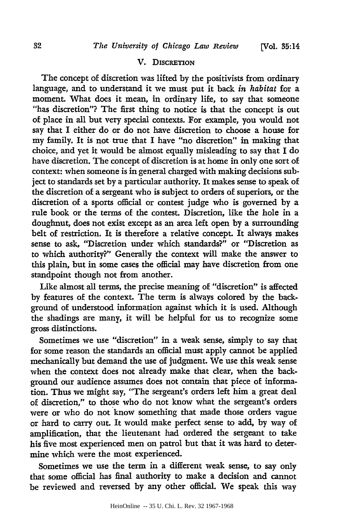#### V. DISCRETION

The concept of discretion was lifted by the positivists from ordinary language, and to understand it we must put it back *in habitat* for a moment. What does it mean, in ordinary life, to say that someone "has discretion"? The first thing to notice is that the concept is out of place in all but very special contexts. For example, you would not say that I either do or do not have discretion to choose a house for my family. It is not true that I have "no discretion" in making that choice, and yet it would be almost equally misleading to say that I do have discretion. The concept of discretion is at home in only one sort of context: when someone is in general charged with making decisions subject to standards set by a particular authority. It makes sense to speak of the discretion of a sergeant who is subject to orders of superiors, or the discretion of a sports official or contest judge who is governed by a rule book or the terms of the contest. Discretion, like the hole in a doughnut, does not exist except as an area left open by a surrounding belt of restriction. It is therefore a relative concept. It always makes sense to ask, "Discretion under which standards?" or "Discretion as to which authority?" Generally the context will make the answer to this plain, but in some cases the official may have discretion from one standpoint though not from another.

Like almost all terms, the precise meaning of "discretion" is affected by features of the context. The term is always colored by the background of understood information against which it is used. Although the shadings are many, it will be helpful for us to recognize some gross distinctions.

Sometimes we use "discretion" in a weak sense, simply to say that for some reason the standards an official must apply cannot be applied mechanically but demand the use of judgment. We use this weak sense when the context does not already make that clear, when the background our audience assumes does not contain that piece of information. Thus we might say, "The sergeant's orders left him a great deal of discretion," to those who do not know what the sergeant's orders were or who do not know something that made those orders vague or hard to carry out. It would make perfect sense to add, by way of amplification, that the lieutenant had ordered the sergeant to take his five most experienced men on patrol but that it was hard to determine which were the most experienced.

Sometimes we use the term in a different weak sense, to say only that some official has final authority to make a decision and cannot be reviewed and reversed by any other official. We speak this way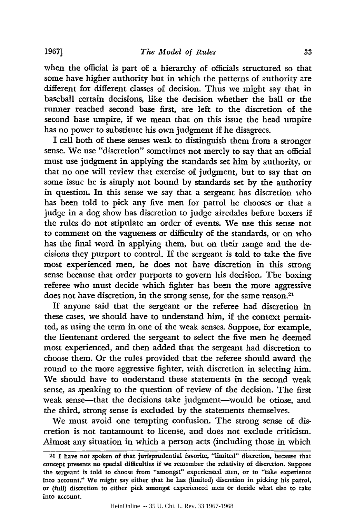when the official is part of a hierarchy of officials structured so that some have higher authority but in which the patterns of authority are different for different classes of decision. Thus we might say that in baseball certain decisions, like the decision whether the ball or the runner reached second base first, are left to the discretion of the second base umpire, if we mean that on this issue the head umpire has no power to substitute his own judgment if he disagrees.

I call both of these senses weak to distinguish them from a stronger sense. We use "discretion" sometimes not merely to say that an official must use judgment in applying the standards set him by authority, or that no one will review that exercise of judgment, but to say that on some issue he is simply not bound by standards set by the authority in question. In this sense we say that a sergeant has discretion who has been told to pick any five men for patrol he chooses or that a judge in a dog show has discretion to judge airedales before boxers if the rules do not stipulate an order of events. We use this sense not to comment on the vagueness or difficulty of the standards, or on who has the final word in applying them, but on their range and the decisions they purport to control. If the sergeant is told to take the five most experienced men, he does not have discretion in this strong sense because that order purports to govern his decision. The boxing referee who must decide which fighter has been the more aggressive does not have discretion, in the strong sense, for the same reason.<sup>21</sup>

If anyone said that the sergeant or the referee had discretion in these cases, we should have to understand him, if the context permitted, as using the term in one of the weak senses. Suppose, for example, the lieutenant ordered the sergeant to select the five men he deemed most experienced, and then added that the sergeant had discretion to choose them. Or the rules provided that the referee should award the round to the more aggressive fighter, with discretion in selecting him. We should have to understand these statements in the second weak sense, as speaking to the question of review of the decision. The first weak sense-that the decisions take judgment-would be otiose, and the third, strong sense is excluded by the statements themselves.

We must avoid one tempting confusion. The strong sense of discretion is not tantamount to license, and does not exclude criticism. Almost any situation in which a person acts (including those in which

HeinOnline -- 35 U. Chi. L. Rev. 33 1967-1968

<sup>21</sup>**I** have not spoken of that jurisprudential favorite, "limited" discretion, because that concept presents no special difficulties if we remember the relativity of discretion. Suppose the sergeant is told to choose from "amongst" experienced men, or to "take experience into account." We might say either that he has (limited) discretion in picking his patrol, or (full) discretion to either pick amongst experienced men or decide what else to take into account.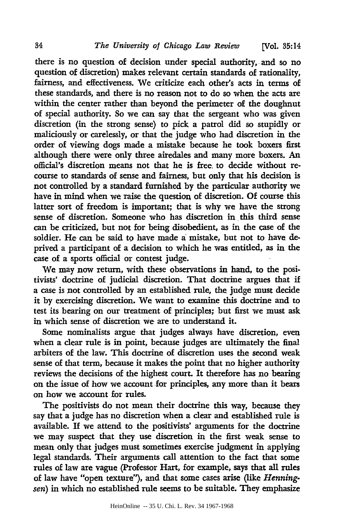**[Vol. 35:14**

there is no question of decision under special authority, and so no question of discretion) makes relevant certain standards of rationality, fairness, and effectiveness. We criticize each other's acts in terms of these standards, and there is no reason not to do so when the acts are within the center rather than beyond the perimeter of the doughnut of special authority. So we can say that the sergeant who was given discretion (in the strong sense) to pick a patrol did so stupidly or maliciously or carelessly, or that the judge who had discretion in the order of viewing dogs made a mistake because he took boxers first although there were only three airedales and many more boxers. An official's discretion means not that he is free. to decide without recourse to standards of sense and fairness, but only that his decision is not controlled **by** a standard furnished **by** the particular authority we have in mind when we raise the question of discretion. Of course this latter sort of freedom is important; that is why we have the strong sense of discretion. Someone who has discretion in this third sense can be criticized, but not for being disobedient, as in the case of the soldier. He can be said to have made **a** mistake, but not to have **de**prived a participant of a decision to which he was entitled, as in the case of a sports official or contest judge.

We may now return, with these observations in hand, to the positivists' doctrine of judicial discretion. That doctrine argues that if a case is not controlled **by** an established rule, the judge must decide it **by** exercising discretion. We want to examine this doctrine and to test its bearing on our treatment of principles; but first we must ask in which sense of discretion we are to understand it.

Some nominalists argue that judges always have discretion, even when a dear rule is in point, because judges are ultimately the final arbiters of the law. This doctrine of discretion uses the second weak sense of that term, because it makes the point that no higher authority reviews the decisions of the highest court. It therefore has no bearing on the issue of how we account for principles, any more than it bears on how we account for rules.

The positivists do not mean their doctrine this way, because they say that a judge has no discretion when a dear and established rule is available. If we attend to the positivists' arguments for the doctrine we may suspect that they use discretion in the first weak sense to mean only that judges must sometimes exercise judgment in applying legal standards. Their arguments call attention to the fact that some rules of law are vague (Professor Hart, for example, says that all rules of law have "open texture"), and that some cases arise (like *Henningsen)* in which no established rule seems to be suitable. They emphasize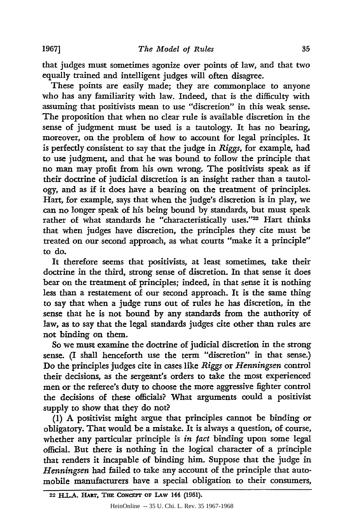that judges must sometimes agonize over points of law, and that two equally trained and intelligent judges will often disagree.

These points are easily made; they are commonplace to anyone who has any familiarity with law. Indeed, that is the difficulty with assuming that positivists mean to use "discretion" in this weak sense. The proposition that when no clear rule is available discretion in the sense of judgment must be used is a tautology. It has no bearing, moreover, on the problem of how to account for legal principles. It is perfectly consistent to say that the judge in *Riggs,* for example, had to use judgment, and that he was bound to follow the principle that no man may profit from his own wrong. The positivists speak as if their doctrine of judicial discretion is an insight rather than a tautology, and as if it does have a bearing on the treatment of principles. Hart, for example, says that when the judge's discretion is in play, we can no longer speak of his being bound by standards, but must speak rather of what standards he "characteristically uses."<sup>22</sup> Hart thinks that when judges have discretion, the principles they cite must be treated on our second approach, as what courts "make it a principle" to do.

It therefore seems that positivists, at least sometimes, take their doctrine in the third, strong sense of discretion. In that sense it does bear on the treatment of principles; indeed, in that sense it is nothing less than a restatement of our second approach. It is the same thing to say that when a judge runs out of rules he has discretion, in the sense that he is not bound by any standards from the authority of law, as to say that the legal standards judges cite other than rules are not binding on them.

So we must examine the doctrine of judicial discretion in the strong sense. (I shall henceforth use the term "discretion" in that sense.) Do the principles judges cite in cases like *Riggs* or *Henningsen* control their decisions, as the sergeant's orders to take the most experienced men or the referee's duty to choose the more aggressive fighter control the decisions of these officials? What arguments could a positivist supply to show that they do not?

(1) A positivist might argue that principles cannot be binding or obligatory. That would be a mistake. It is always a question, of course, whether any particular principle is *in fact* binding upon some legal official. But there is nothing in the logical character of a principle that renders it incapable of binding him. Suppose that the judge in *Henningsen* had failed to take any account of the principle that automobile manufacturers have a special obligation to their consumers,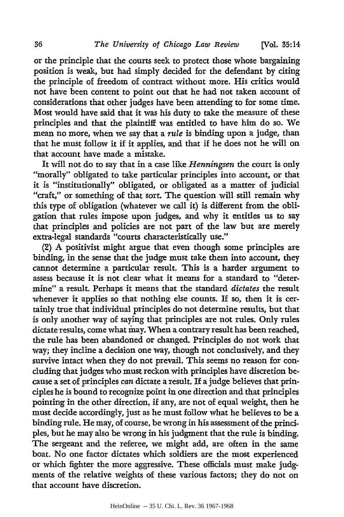or the principle that the courts seek to protect those whose bargaining position is weak, but had simply decided for the defendant by citing the principle of freedom of contract without more. His critics would not have been content to point out that he had not taken account of considerations that other judges have been attending to for some time. Most would have said that it was his duty to take the measure of these principles and that the plaintiff was entitled to have him do so. We mean no more, when we say that a *rule* is binding upon a judge, than that he must follow it if it applies, and that if he does not he will on that account have made a mistake.

It will not do to say that in a case like *Henningsen* the court is only "morally" obligated to take particular principles into account, or that it is "institutionally" obligated, or obligated as a matter of judicial "craft," or something of that sort. The question will still remain why this type of obligation (whatever we call it) is different from the obligation that rules impose upon judges, and why it entitles us to say that principles and policies are not part of the law but are merely extra-legal standards "courts characteristically use."

(2) A positivist might argue that even though some principles are binding, in the sense that the judge must take them into account, they cannot determine a particular result. This is a harder argument to assess because it is not clear what it means for a standard to "determine" a result. Perhaps it means that the standard *dictates* the result whenever it applies so that nothing else counts. If so, then it is certainly true that individual principles do not determine results, but that is only another way of saying that principles are not rules. Only rules dictate results, come what may. When a contrary result has been reached, the rule has been abandoned or changed. Principles do not work that way; they incline a decision one way, though not conclusively, and they survive intact when they do not prevail. This seems no reason for concluding that judges who must reckon with principles have discretion because a set of principles *can* dictate a result. If a judge believes that principles he is bound to recognize point in one direction and that principles pointing in the other direction, if any, are not of equal weight, then he must decide accordingly, just as he must follow what he believes to be a binding rule. He may, of course, be wrong in his assessment of the principles, but he may also be wrong in his judgment that the rule is binding. The sergeant and the referee, we might add, are often in the same boat. No one factor dictates which soldiers are the most experienced or which fighter the more aggressive. These officials must make judgments of the relative weights of these various factors; they do not on that account have discretion.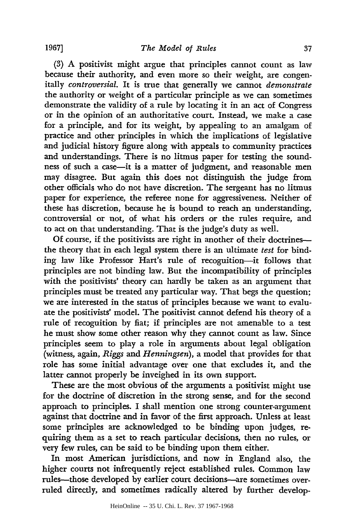(3) A positivist might argue that principles cannot count as law because their authority, and even more so their weight, are congenitally *controversial.* It is true that generally we cannot *demonstrate* the authority or weight of a particular principle as we can sometimes demonstrate the validity of a rule by locating it in an act of Congress or in the opinion of an authoritative court. Instead, we make a case for a principle, and for its weight, by appealing to an amalgam of practice and other principles in which the implications of legislative and judicial history figure along with appeals to community practices and understandings. There is no litmus paper for testing the soundness of such a case-it is a matter of judgment, and reasonable men may disagree. But again this does not distinguish the judge from other officials who do not have discretion. The sergeant has no litmus paper for experience, the referee none for aggressiveness. Neither of these has discretion, because he is bound to reach an understanding, controversial or not, of what his orders or the rules require, and to act on that understanding. That is the judge's duty as well.

Of course, if the positivists are right in another of their doctrinesthe theory that in each legal system there is an ultimate *test* for binding law like Professor Hart's rule of recognition-it follows that principles are not binding law. But the incompatibility of principles with the positivists' theory can hardly be taken as an argument that principles must be treated any particular way. That begs the question; we are interested in the status of principles because we want to evaluate the positivists' model. The positivist cannot defend his theory of a rule of recognition by fiat; if principles are not amenable to a test he must show some other reason why they cannot count as law. Since principles seem to play a role in arguments about legal obligation (witness, again, *Riggs and Henningsen),* a model that provides for that role has some initial advantage over one that excludes it, and the latter cannot properly be inveighed in its own support.

These are the most obvious of the arguments a positivist might use for the doctrine of discretion in the strong sense, and for the second approach to principles. I shall mention one strong counter-argument against that doctrine and in favor of the first approach. Unless at least some principles are acknowledged to be binding upon judges, requiring them as a set to reach particular decisions, then no rules, or very few rules, can be said to be binding upon them either.

In most American jurisdictions, and now in England also, the higher courts not infrequently reject established rules. Common law rules-those developed by earlier court decisions-are sometimes overruled directly, and sometimes radically altered by further develop-

**1967]**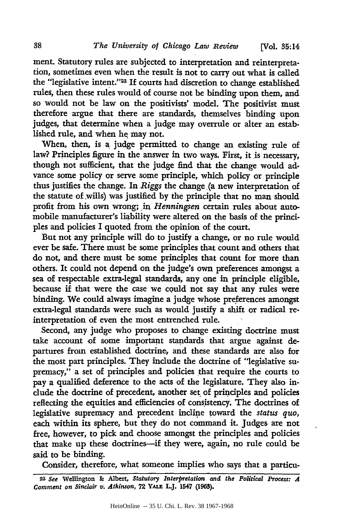ment. Statutory rules are subjected to interpretation and reinterpretation, sometimes even when the result is not to carry out what is called the "legislative intent."<sup>23</sup> If courts had discretion to change established rules, then these rules would of course not be binding upon them, and so would not be law on the positivists' model. The positivist must therefore argue that there are standards, themselves binding upon judges, that determine when a judge may overrule or alter an established rule, and when he may not.

When, then, is a judge permitted to change an existing rule of law? Principles figure in the answer in two ways. First, it **is** necessary, though not sufficient, that the judge find that the change would advance some policy or serve some principle, which policy or principle thus justifies the change. In *Riggs* the change (a new interpretation of the statute of.wills) was justified **by** the principle that no man should profit from his own wrong; in *Henningsen* certain rules about automobile manufacturer's liability were altered on the basis of the principles and policies I quoted from the opinion of the court.

But not any principle will do to justify a change, or no rule would ever be safe. There must be some principles that count and others that do not, and there must be some principles that count for more than others. It could not depend on the judge's own preferences amongst a sea of respectable extra-legal standards, any one in principle eligible, because **if** that were the case we could not say that any rules were binding. We could always imagine a judge whose preferences amongst extra-legal standards were such as would justify a shift or radical reinterpretation of even the most entrenched rule.

Second, any judge who proposes to change existing doctrine must take account of some important standards that argue against departures from established doctrine, and these standards are also for the most part principles. They include the doctrine of "legislative supremacy," a set of principles and policies that require the courts to pay a qualified deference to the acts of the legislature. They also indude the doctrine of precedent, another set of principles and policies reflecting the equities and efficiencies of consistency. The doctrines of legislative supremacy and precedent incline toward the *status quo,* each within its sphere, but they do not command it. Judges are not free, however, to pick and choose amongst the principles and policies that make up these doctrines--if they were, again, no rule could be said to be binding.

Consider, therefore, what someone implies who says that a particu-

**<sup>23</sup>***See* **Wellington & Albert,** *Statutory Interpretation and the Political Process: A Comment on Sinclair v. Atkinson,* **72 YAu- L.J. 1547 (1963).**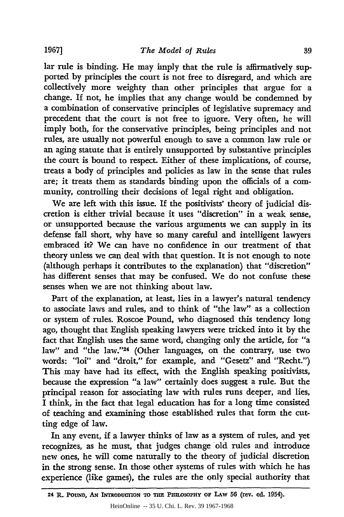lar rule is binding. He may imply that the rule is affirmatively supported by principles the court is not free to disregard, and which are collectively more weighty than other principles that argue for a change. If not, he implies that any change would be condemned by a combination of conservative principles of legislative supremacy and precedent that the court is not free to ignore. Very often, he will imply both, for the conservative principles, being principles and not rules, are usually not powerful enough to save a common law rule or an aging statute that is entirely unsupported by substantive principles the court is bound to respect. Either of these implications, of course, treats a body of principles and policies as law in the sense that rules are; it treats them as standards binding upon the officials of a community, controlling their decisions of legal right and obligation.

We are left with this issue. If the positivists' theory of judicial discretion is either trivial because it uses "discretion" in a weak sense, or unsupported because the various arguments we can supply in its defense fall short, why have so many careful and intelligent lawyers embraced it? We can have no confidence in our treatment of that theory unless we can deal with that question. It is not enough to note (although perhaps it contributes to the explanation) that "discretion" has different senses that may be confused. We do not confuse these senses when we are not thinking about law.

Part of the explanation, at least, lies in a lawyer's natural tendency to associate laws and rules, and to think of "the law" as a collection or system of rules. Roscoe Pound, who diagnosed this tendency long ago, thought that English speaking lawyers were tricked into it by the fact that English uses the same word, changing only the article, for "a law" and "the law."<sup>24</sup> (Other languages, on the contrary, use two words: "loi" and "droit," for example, and "Gesetz" and "Recht.") This may have had its effect, with the English speaking positivists, because the expression "a law" certainly does suggest a rule. But the principal reason for associating law with rules runs deeper, and lies, I think, in the fact that legal education has for a long time consisted of teaching and examining those established rules that form the cutting edge of law.

In any event, if a lawyer thinks of law as a system of rules, and yet recognizes, as he must, that judges change old rules and introduce new ones, he will come naturally to the theory of judicial discretion in the strong sense. In those other systems of rules with which he has experience (like games), the rules are the only special authority that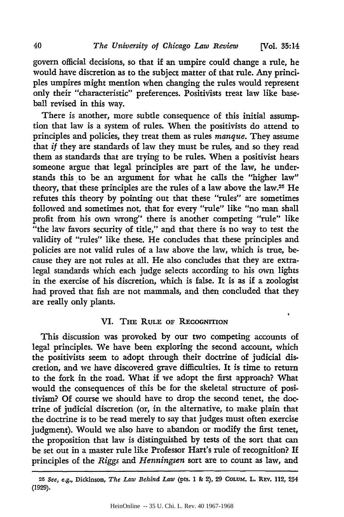govern official decisions, so that if an umpire could change a rule, he would have discretion as to the subject matter of that rule. Any principles umpires might mention when changing the rules would represent only their "characteristic" preferences. Positivists treat law like baseball revised in this way.

There is another, more subtle consequence of this initial assumption that law is a system of rules. When the positivists do attend to principles and policies, they treat them as rules *manque.* They assume that *if* they are standards of law they must be rules, and so they read them as standards that are trying to be rules. When a positivist hears someone argue that legal principles are part of the law, he understands this to be an argument for what he calls the "higher law" theory, that these principles are the rules of a law above the law.25 He refutes this theory by pointing out that these "rules" are sometimes followed and sometimes not, that for every "rule" like "no man shall profit from his own wrong" there is another competing "rule" like "the law favors security of title," and that there is no way to test the validity of "rules" like these. He concludes that these principles and policies are not valid rules of a law above the law, which is true, because they are not rules at all. He also concludes that they are extralegal standards which each judge selects according to his own lights in the exercise of his discretion, which is false. It is as if a zoologist had proved that fish are not mammals, and then concluded that they are really only plants.

#### VI. THE RULE OF RECOGNITION

This discussion was provoked by our two competing accounts of legal principles. We have been exploring the second account, which the positivists seem to adopt through their doctrine of judicial discretion, and we have discovered grave difficulties. It is time to return to the fork in the road. What if we adopt the first approach? What would the consequences of this be for the skeletal structure of positivism? Of course we should have to drop the second tenet, the doctrine of judicial discretion (or, in the alternative, to make plain that the doctrine is to be read merely to say that judges must often exercise judgment). Would we also have to abandon or modify the first tenet, the proposition that law is distinguished by tests of the sort that can be set out in a master rule like Professor Hart's rule of recognition? If principles of the *Riggs* and *Henningsen* sort are to count as law, and

**<sup>25</sup>***See,* **e.g.,** Dickinson, *The Law Behind Law* (pts. **I** & *2),* **29** CoLum. L. Rzv. 112, 254 **(1929).**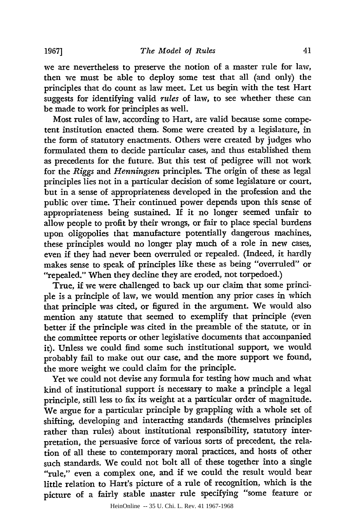we are nevertheless to preserve the notion of a master rule for law, then we must be able to deploy some test that all (and only) the principles that do count as law meet. Let us begin with the test Hart suggests for identifying valid *rules* of law, to see whether these can be made to work for principles as well.

Most rules of law, according to Hart, are valid because some competent institution enacted them. Some were created **by** a legislature, in the form of statutory enactments. Others were created by judges who formulated them to decide particular cases, and thus established them as precedents for the future. But this test of pedigree will not work for the *Riggs and Henningsen* principles. The origin of these as legal principles lies not in a particular decision of some legislature or court, but in a sense of appropriateness developed in the profession and the public over time. Their continued power depends upon this sense of appropriateness being sustained. If it no longer seemed unfair to allow people to profit by their wrongs, or fair to place special burdens upon oligopolies that manufacture potentially dangerous machines, these principles would no longer play much of a role in new cases, even if they had never been overruled or repealed. (Indeed, it hardly makes sense to speak of principles like these as being "overruled" or "repealed." When they decline they are eroded, not torpedoed.)

True, if we were challenged to back up our claim that some principle is a principle of law, we would mention any prior cases in which that principle was cited, or figured in the argument. We would also mention any statute that seemed to exemplify that principle (even better if the principle was cited in the preamble of the statute, or in the committee reports or other legislative documents that accompanied it). Unless we could find some such institutional support, we would probably fail to make out our case, and the more support we found, the more weight we could claim for the principle.

Yet we could not devise any formula for testing how much and what kind of institutional support is necessary to make a principle a legal principle, still less to fix its weight at a particular order of magnitude. We argue for a particular principle by grappling with a whole set of shifting, developing and interacting standards (themselves principles rather than rules) about institutional responsibility, statutory interpretation, the persuasive force of various sorts of precedent, the relation of all these to contemporary moral practices, and hosts of other such standards. We could not bolt all of these together into a single "rule," even a complex one, and if we could the result would bear little relation to Hart's picture of a rule of recognition, which is the picture of a fairly stable master rule specifying "some feature or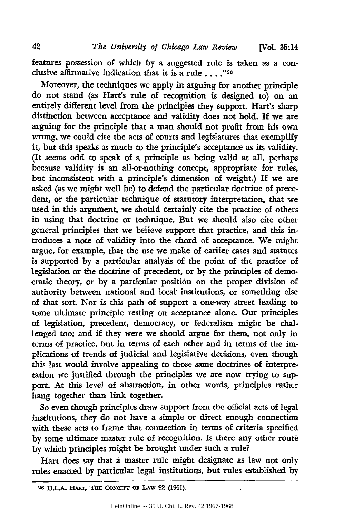features possession of which **by** a suggested rule is taken as a conclusive affirmative indication that it is a rule .... **"26**

Moreover, the techniques we apply in arguing for another principle do not stand (as Hart's rule of recognition is designed to) on an entirely different level from the principles they support. Hart's sharp distinction between acceptance and validity does not hold. If we are arguing for the principle that a man should not profit from his own wrong, we could cite the acts of courts and legislatures that exemplify it, but this speaks as much to the principle's acceptance as its validity. (It seems odd to speak of a principle as being valid at all, perhaps because validity is an all-or-nothing concept, appropriate for rules, but inconsistent with a principle's dimension of weight.) **If** we are asked (as we might well be) to defend the particular doctrine of precedent, or the particular technique of statutory interpretation, that we used in this argument, we should certainly cite the practice of others in using that doctrine or technique. But we should also cite other general principles that we believe support that practice, and this introduces a note of validity into the chord of acceptance. We might argue, for example, that the use we make of earlier cases and statutes is supported by a particular analysis of the point of the practice of legislation or the doctrine of precedent, or by the principles of democratic theory, or by a particular position on the proper division of authority between national and local' institutions, or something else of that sort. Nor is this path of support a one-way street leading to some ultimate principle resting on acceptance alone. Our principles of legislation, precedent, democracy, or federalism might be challenged too; and if they were we should argue for them, not only in terms of practice, but in terms of each other and in terms of the implications of trends of judicial and legislative decisions, even though this last would involve appealing to those same doctrines of interpretation we justified through the principles we are now trying to support. At this level of abstraction, in other words, principles rather hang together than link together.

So even though principles draw support from the official acts of legal institutions, they do not have a simple or direct enough connection with these acts to frame that connection in terms of criteria specified by some ultimate master rule of recognition. Is there any other route by which principles might be brought under such a rule?

Hart does say that a master rule might designate as law not only rules enacted by particular legal institutions, but rules established by

**<sup>26</sup>** H.L.A. R&I-r, **THE CONCEPT oF LAw 92 (1961).**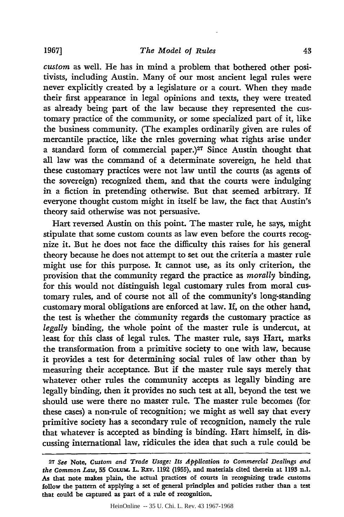*custom* as well. He has in mind a problem that bothered other positivists, including Austin. Many of our most ancient legal rules were never explicitly created by a legislature or a court. When they made their first appearance in legal opinions and texts, they were treated as already being part of the law because they represented the customary practice of the community, or some specialized part of it, like the business community. (The examples ordinarily given are rules of mercantile practice, like the rules governing what rights arise under a standard form of commercial paper.)<sup>27</sup> Since Austin thought that all law was the command of a determinate sovereign, he held that these customary practices were not law until the courts (as agents of the sovereign) recognized them, and that the courts were indulging in a fiction in pretending otherwise. But that seemed arbitrary. If everyone thought custom might in itself be law, the fact that Austin's theory said otherwise was not persuasive.

Hart reversed Austin on this point. The master rule, he says, might stipulate that some custom counts as law even before the courts recognize it. But he does not face the difficulty this raises for his general theory because he does not attempt to set out the criteria a master rule might use for this purpose. It cannot use, as its only criterion, the provision that the community regard the practice as *morally* binding, for this would not distinguish legal customary rules from moral customary rules, and of course not all of the community's long-standing customary moral obligations are enforced at law. If, on the other hand, the test is whether the community regards the customary practice as *legally* binding, the whole point of the master rule is undercut, at least for this class of legal rules. The master rule, says Hart, marks the transformation from a primitive society to one with law, because it provides a test for determining social rules of law other than by measuring their acceptance. But if the master rule says merely that whatever other rules the community accepts as legally binding are legally binding, then it provides no such test at all, beyond the test we should use were there no master rule. The master rule becomes (for these cases) a non-rule of recognition; we might as well say that every primitive society has a secondary rule of recognition, namely the rule that whatever is accepted as binding is binding. Hart himself, in discussing international law, ridicules the idea that such a rule could be

**<sup>27</sup>** *See* Note, *Custom and Trade Usage: Its Application to Commercial Dealings and the Common Law,* **55 CoLum.** L. REv. 1192 **(1955),** and materials cited therein at **1193** n.l. As that note makes plain, the actual practices of courts in recognizing trade customs follow the pattern of applying a set of general principles and policies rather than a test that could be captured as part of a rule of recognition.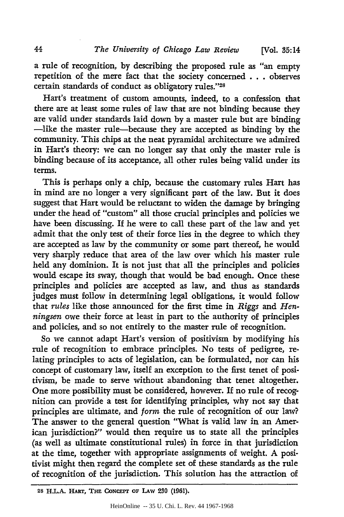a rule of recognition, **by** describing the proposed rule as "an empty repetition of the mere fact that the society concerned **. .** observes certain standards of conduct as obligatory rules."28

Hart's treatment of custom amounts, indeed, to a confession that there are at least some rules of law that are not binding because they are valid under standards laid down by a master rule but are binding -like the master rule-because they are accepted as binding by the community. This chips at the neat pyramidal architecture we admired in Hart's theory: we can no longer say that only the master rule is binding because of its acceptance, all other rules being valid under its terms.

This is perhaps only a chip, because the customary rules Hart has in mind are no longer a very significant part of the law. But it does suggest that Hart would be reluctant to widen the damage by bringing under the head of "custom" all those crucial principles and policies we have been discussing. If he were to call these part of the law and yet admit that the only test of their force lies in the degree to which they are accepted as law by the community or some part thereof, he would very sharply reduce that area of the law over which his master rule held any dominion. It is not just that all the principles and policies would escape its sway, though that would be bad enough. Once these principles and policies are accepted as law, and thus as standards judges must follow in determining legal obligations, it would follow that *rules* like those announced for the first time in *Riggs* and *Henningsen* owe their force at least in part to the authority of principles and policies, and so not entirely to the master rule of recognition.

So we cannot adapt Hart's version of positivism by modifying his rule of recognition to embrace principles. No tests of pedigree, relating principles to acts of legislation, can be formulated, nor can his concept of customary law, itself an exception to the first tenet of positivism, be made to serve without abandoning that tenet altogether. One more possibility must be considered, however. If no rule of recognition can provide a test for identifying principles, why not say that principles are ultimate, and *form* the rule of recognition of our law? The answer to the general question "What is valid law in an American jurisdiction?" would then require us to state all the principles (as well as ultimate constitutional rules) in force in that jurisdiction at the time, together with appropriate assignments of weight. A positivist might then regard the complete set of these standards as the rule of recognition of the jurisdiction. This solution has the attraction of

**<sup>28</sup> H.L.A. HART, THE CONCEPT OF LAW 230 (1961).**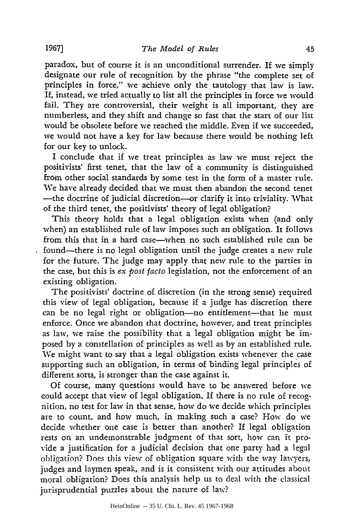paradox, but of course it is an unconditional surrender. If we simply designate our rule of recognition by the phrase "the complete set of principles in force," we achieve only the tautology that law is law. If, instead, we tried actually to list all the principles in force we would fail. They are controversial, their weight is all important, they are numberless, and they shift and change so fast that the start of our list would be obsolete before we reached the middle. Even if we succeeded, we would not have a key for law because there would be nothing left for our key to unlock.

I conclude that if we treat principles as law we must reject the positivists' first tenet, that the law of a community is distinguished from other social standards by some test in the form of a master rule. We have already decided that we must then abandon the second tenet -the doctrine of judicial discretion--or clarify it into triviality. What of the third tenet, the positivists' theory of legal obligation?

This theory holds that a legal obligation exists when (and only when) an established rule of law imposes such an obligation. It follows from this that in a hard case-when no such established rule can be found-there is no legal obligation until the judge creates a new rule for the future. The judge may apply that new rule to the parties in the case, but this is *ex post facto* legislation, not the enforcement of an existing obligation.

The positivists' doctrine of discretion (in the strong sense) required this view of legal obligation, because if a judge has discretion there can be no legal right or obligation-no entitlement-that he must enforce. Once we abandon that doctrine, however, and treat principles as law, we raise the possibility that a legal obligation might be imposed by a constellation of principles as well as by an established rule. We might want to say that a legal obligation exists whenever the case supporting such an obligation, in terms of binding legal principles of different sorts, is stronger than the case against it.

Of course, many questions would have to be answered before we could accept that view of legal obligation, If there is no rule of recognition, no test for law in that sense, how do we decide which principles are to count, and how much, in making such a case? How do we decide whether one case is better than another? If legal obligation rests on an undemonstrable judgment of that sort, how can it provide a justification for a judicial decision that one party had a legal obligation? Does this view of obligation square with the way lawyers, judges and laymen speak, and is it consistent with our attitudes about moral obligation? Does this analysis help us to deal with the classical jurisprudential puzzles about the nature of law?

**1967]**

45